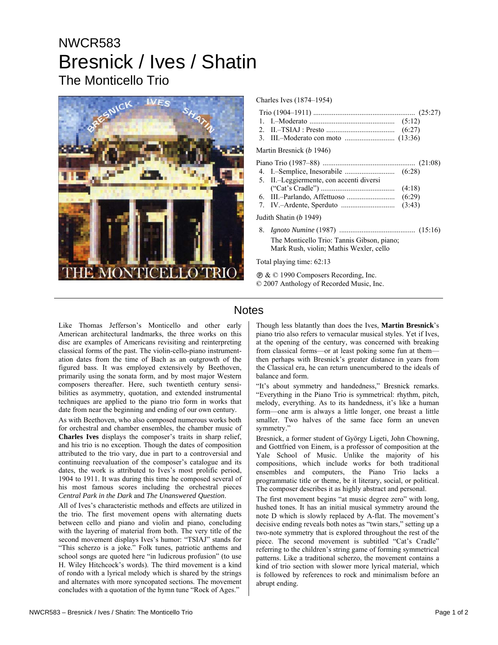# NWCR583 Bresnick / Ives / Shatin The Monticello Trio



#### Charles Ives (1874–1954)

- 2. II.–TSIAJ : Presto ..................................... (6:27)
- 3. III.–Moderato con moto ........................... (13:36)

### Martin Bresnick (*b* 1946)

|--|--|--|

- 4. I.–Semplice, Inesorabile ........................... (6:28) 5. II.–Leggiermente, con accenti diversi
- ("Cat's Cradle") ........................................ (4:18)
- 6. III.–Parlando, Affettuoso .......................... (6:29)
- 7. IV.–Ardente, Sperduto ............................. (3:43)

Judith Shatin (*b* 1949)

8. *Ignoto Numine* (1987) ......................................... (15:16) The Monticello Trio: Tannis Gibson, piano; Mark Rush, violin; Mathis Wexler, cello

Total playing time: 62:13

Ê & © 1990 Composers Recording, Inc. © 2007 Anthology of Recorded Music, Inc.

## **Notes**

Like Thomas Jefferson's Monticello and other early American architectural landmarks, the three works on this disc are examples of Americans revisiting and reinterpreting classical forms of the past. The violin-cello-piano instrumentation dates from the time of Bach as an outgrowth of the figured bass. It was employed extensively by Beethoven, primarily using the sonata form, and by most major Western composers thereafter. Here, such twentieth century sensibilities as asymmetry, quotation, and extended instrumental techniques are applied to the piano trio form in works that date from near the beginning and ending of our own century.

As with Beethoven, who also composed numerous works both for orchestral and chamber ensembles, the chamber music of **Charles Ives** displays the composer's traits in sharp relief, and his trio is no exception. Though the dates of composition attributed to the trio vary, due in part to a controversial and continuing reevaluation of the composer's catalogue and its dates, the work is attributed to Ives's most prolific period, 1904 to 1911. It was during this time he composed several of his most famous scores including the orchestral pieces *Central Park in the Dark* and *The Unanswered Question*.

All of Ives's characteristic methods and effects are utilized in the trio. The first movement opens with alternating duets between cello and piano and violin and piano, concluding with the layering of material from both. The very title of the second movement displays Ives's humor: "TSIAJ" stands for "This scherzo is a joke." Folk tunes, patriotic anthems and school songs are quoted here "in ludicrous profusion" (to use H. Wiley Hitchcock's words). The third movement is a kind of rondo with a lyrical melody which is shared by the strings and alternates with more syncopated sections. The movement concludes with a quotation of the hymn tune "Rock of Ages."

Though less blatantly than does the Ives, **Martin Bresnick**'s piano trio also refers to vernacular musical styles. Yet if Ives, at the opening of the century, was concerned with breaking from classical forms—or at least poking some fun at them then perhaps with Bresnick's greater distance in years from the Classical era, he can return unencumbered to the ideals of balance and form.

"It's about symmetry and handedness," Bresnick remarks. "Everything in the Piano Trio is symmetrical: rhythm, pitch, melody, everything. As to its handedness, it's like a human form—one arm is always a little longer, one breast a little smaller. Two halves of the same face form an uneven symmetry."

Bresnick, a former student of György Ligeti, John Chowning, and Gottfried von Einem, is a professor of composition at the Yale School of Music. Unlike the majority of his compositions, which include works for both traditional ensembles and computers, the Piano Trio lacks a programmatic title or theme, be it literary, social, or political. The composer describes it as highly abstract and personal.

The first movement begins "at music degree zero" with long, hushed tones. It has an initial musical symmetry around the note D which is slowly replaced by A-flat. The movement's decisive ending reveals both notes as "twin stars," setting up a two-note symmetry that is explored throughout the rest of the piece. The second movement is subtitled "Cat's Cradle" referring to the children's string game of forming symmetrical patterns. Like a traditional scherzo, the movement contains a kind of trio section with slower more lyrical material, which is followed by references to rock and minimalism before an abrupt ending.